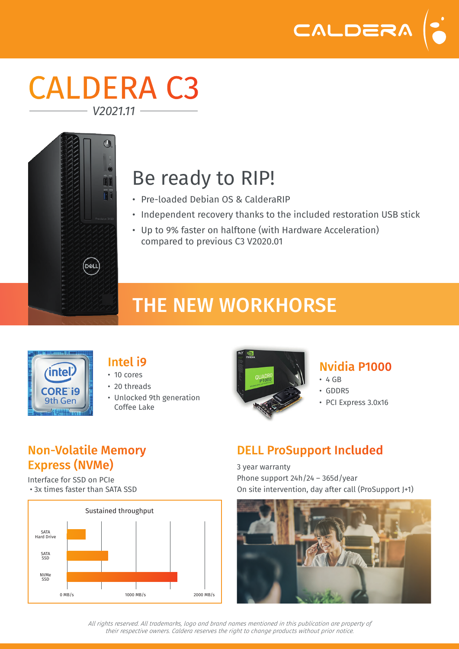

## CALDERA C3 *V2021.11*



# Be ready to RIP!

- Pre-loaded Debian OS & CalderaRIP
- Independent recovery thanks to the included restoration USB stick
- Up to 9% faster on halftone (with Hardware Acceleration) compared to previous C3 V2020.01

## THE NEW WORKHORSE



#### Intel i9

- 10 cores
- 20 threads
- Unlocked 9th generation Coffee Lake



#### Nvidia P1000

- $-4$  GR
- GDDR5
- PCI Express 3.0x16

#### Non-Volatile Memory Express (NVMe)

Interface for SSD on PCIe • 3x times faster than SATA SSD



### DELL ProSupport Included

3 year warranty Phone support 24h/24 – 365d/year On site intervention, day after call (ProSupport J+1)



*All rights reserved. All trademarks, logo and brand names mentioned in this publication are property of their respective owners. Caldera reserves the right to change products without prior notice.*